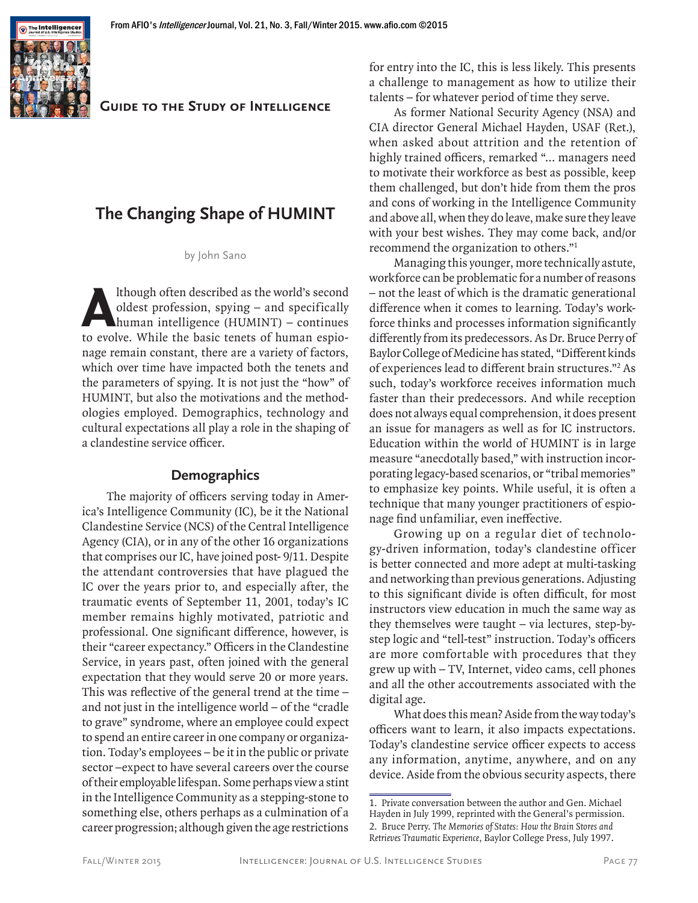

#### **Guide to the Study of Intelligence**

# **The Changing Shape of HUMINT**

by John Sano

Ithough often described as the world's second<br>oldest profession, spying – and specifically<br>human intelligence (HUMINT) – continues<br>to evolve. While the basic tenets of human espiooldest profession, spying – and specifically human intelligence (HUMINT) – continues to evolve. While the basic tenets of human espionage remain constant, there are a variety of factors, which over time have impacted both the tenets and the parameters of spying. It is not just the "how" of HUMINT, but also the motivations and the methodologies employed. Demographics, technology and cultural expectations all play a role in the shaping of a clandestine service officer.

#### **Demographics**

The majority of officers serving today in America's Intelligence Community (IC), be it the National Clandestine Service (NCS) of the Central Intelligence Agency (CIA), or in any of the other 16 organizations that comprises our IC, have joined post- 9/11. Despite the attendant controversies that have plagued the IC over the years prior to, and especially after, the traumatic events of September 11, 2001, today's IC member remains highly motivated, patriotic and professional. One significant difference, however, is their "career expectancy." Officers in the Clandestine Service, in years past, often joined with the general expectation that they would serve 20 or more years. This was reflective of the general trend at the time – and not just in the intelligence world – of the "cradle to grave" syndrome, where an employee could expect to spend an entire career in one company or organization. Today's employees – be it in the public or private sector –expect to have several careers over the course of their employable lifespan. Some perhaps view a stint in the Intelligence Community as a stepping-stone to something else, others perhaps as a culmination of a career progression; although given the age restrictions

for entry into the IC, this is less likely. This presents a challenge to management as how to utilize their talents – for whatever period of time they serve.

As former National Security Agency (NSA) and CIA director General Michael Hayden, USAF (Ret.), when asked about attrition and the retention of highly trained officers, remarked "… managers need to motivate their workforce as best as possible, keep them challenged, but don't hide from them the pros and cons of working in the Intelligence Community and above all, when they do leave, make sure they leave with your best wishes. They may come back, and/or recommend the organization to others."1

Managing this younger, more technically astute, workforce can be problematic for a number of reasons – not the least of which is the dramatic generational difference when it comes to learning. Today's workforce thinks and processes information significantly differently from its predecessors. As Dr. Bruce Perry of Baylor College of Medicine has stated, "Different kinds of experiences lead to different brain structures."2 As such, today's workforce receives information much faster than their predecessors. And while reception does not always equal comprehension, it does present an issue for managers as well as for IC instructors. Education within the world of HUMINT is in large measure "anecdotally based," with instruction incorporating legacy-based scenarios, or "tribal memories" to emphasize key points. While useful, it is often a technique that many younger practitioners of espionage find unfamiliar, even ineffective.

Growing up on a regular diet of technology-driven information, today's clandestine officer is better connected and more adept at multi-tasking and networking than previous generations. Adjusting to this significant divide is often difficult, for most instructors view education in much the same way as they themselves were taught – via lectures, step-bystep logic and "tell-test" instruction. Today's officers are more comfortable with procedures that they grew up with – TV, Internet, video cams, cell phones and all the other accoutrements associated with the digital age.

What does this mean? Aside from the way today's officers want to learn, it also impacts expectations. Today's clandestine service officer expects to access any information, anytime, anywhere, and on any device. Aside from the obvious security aspects, there

<sup>1.</sup> Private conversation between the author and Gen. Michael Hayden in July 1999, reprinted with the General's permission. 2. Bruce Perry. The Memories of States: How the Brain Stores and Retrieves Traumatic Experience, Baylor College Press, July 1997.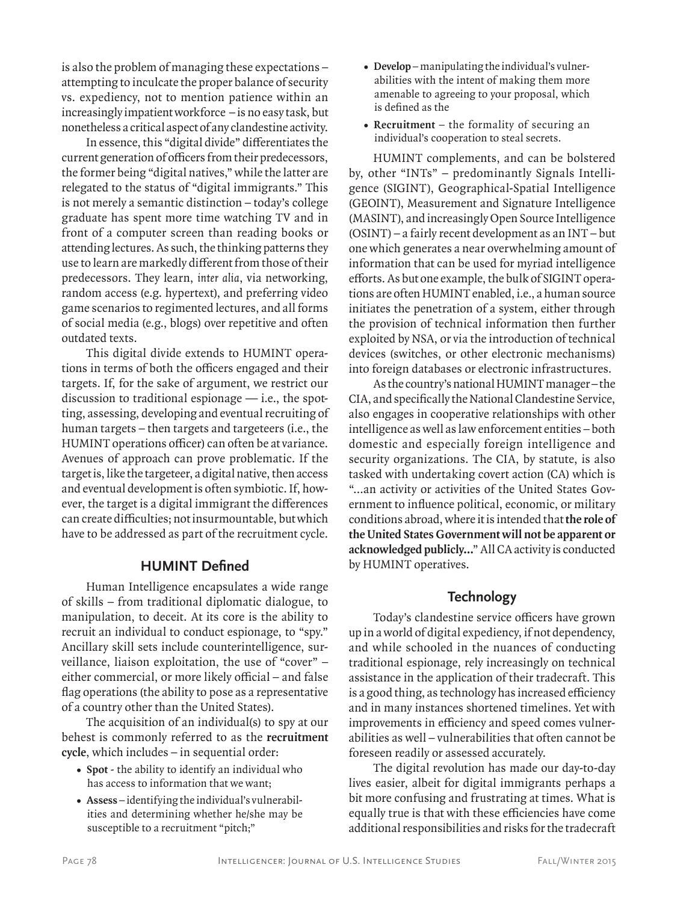is also the problem of managing these expectations – attempting to inculcate the proper balance of security vs. expediency, not to mention patience within an increasingly impatient workforce – is no easy task, but nonetheless a critical aspect of any clandestine activity.

In essence, this "digital divide" differentiates the current generation of officers from their predecessors, the former being "digital natives," while the latter are relegated to the status of "digital immigrants." This is not merely a semantic distinction – today's college graduate has spent more time watching TV and in front of a computer screen than reading books or attending lectures. As such, the thinking patterns they use to learn are markedly different from those of their predecessors. They learn, inter alia, via networking, random access (e.g. hypertext), and preferring video game scenarios to regimented lectures, and all forms of social media (e.g., blogs) over repetitive and often outdated texts.

This digital divide extends to HUMINT operations in terms of both the officers engaged and their targets. If, for the sake of argument, we restrict our discussion to traditional espionage  $-$  i.e., the spotting, assessing, developing and eventual recruiting of human targets – then targets and targeteers (i.e., the HUMINT operations officer) can often be at variance. Avenues of approach can prove problematic. If the target is, like the targeteer, a digital native, then access and eventual development is often symbiotic. If, however, the target is a digital immigrant the differences can create difficulties; not insurmountable, but which have to be addressed as part of the recruitment cycle.

#### **HUMINT Defined**

Human Intelligence encapsulates a wide range of skills – from traditional diplomatic dialogue, to manipulation, to deceit. At its core is the ability to recruit an individual to conduct espionage, to "spy." Ancillary skill sets include counterintelligence, surveillance, liaison exploitation, the use of "cover" – either commercial, or more likely official – and false flag operations (the ability to pose as a representative of a country other than the United States).

The acquisition of an individual(s) to spy at our behest is commonly referred to as the **recruitment cycle**, which includes – in sequential order:

- **• Spot** the ability to identify an individual who has access to information that we want;
- **• Assess** identifying the individual's vulnerabilities and determining whether he/she may be susceptible to a recruitment "pitch;"
- **• Develop** manipulating the individual's vulnerabilities with the intent of making them more amenable to agreeing to your proposal, which is defined as the
- **• Recruitment** the formality of securing an individual's cooperation to steal secrets.

HUMINT complements, and can be bolstered by, other "INTs" – predominantly Signals Intelligence (SIGINT), Geographical-Spatial Intelligence (GEOINT), Measurement and Signature Intelligence (MASINT), and increasingly Open Source Intelligence (OSINT) – a fairly recent development as an INT – but one which generates a near overwhelming amount of information that can be used for myriad intelligence efforts. As but one example, the bulk of SIGINT operations are often HUMINT enabled, i.e., a human source initiates the penetration of a system, either through the provision of technical information then further exploited by NSA, or via the introduction of technical devices (switches, or other electronic mechanisms) into foreign databases or electronic infrastructures.

As the country's national HUMINT manager – the CIA, and specifically the National Clandestine Service, also engages in cooperative relationships with other intelligence as well as law enforcement entities – both domestic and especially foreign intelligence and security organizations. The CIA, by statute, is also tasked with undertaking covert action (CA) which is "…an activity or activities of the United States Government to influence political, economic, or military conditions abroad, where it is intended that **the role of the United States Government will not be apparent or acknowledged publicly…**" All CA activity is conducted by HUMINT operatives.

# **Technology**

Today's clandestine service officers have grown up in a world of digital expediency, if not dependency, and while schooled in the nuances of conducting traditional espionage, rely increasingly on technical assistance in the application of their tradecraft. This is a good thing, as technology has increased efficiency and in many instances shortened timelines. Yet with improvements in efficiency and speed comes vulnerabilities as well – vulnerabilities that often cannot be foreseen readily or assessed accurately.

The digital revolution has made our day-to-day lives easier, albeit for digital immigrants perhaps a bit more confusing and frustrating at times. What is equally true is that with these efficiencies have come additional responsibilities and risks for the tradecraft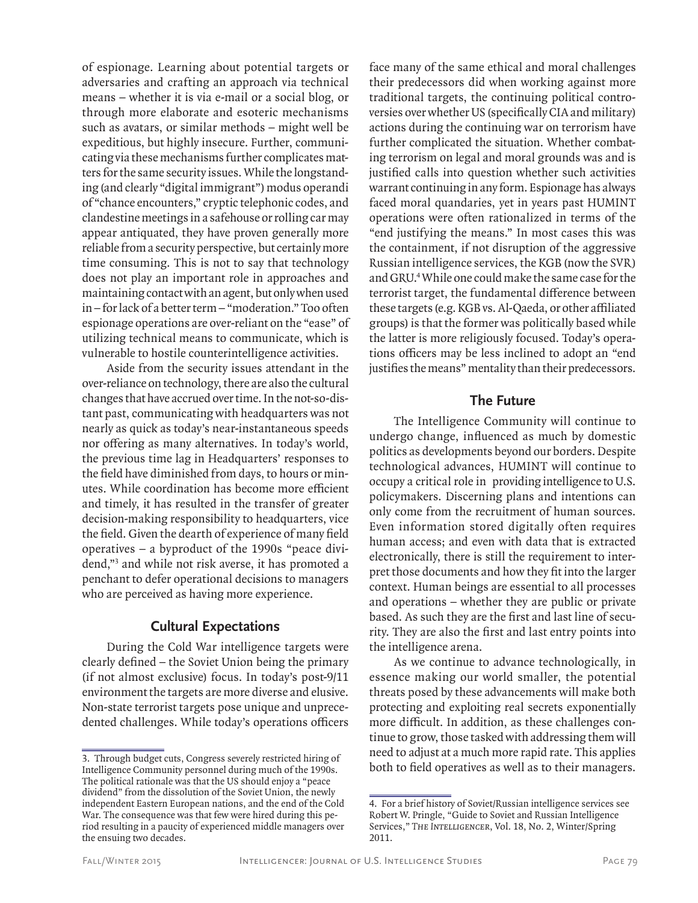of espionage. Learning about potential targets or adversaries and crafting an approach via technical means – whether it is via e-mail or a social blog, or through more elaborate and esoteric mechanisms such as avatars, or similar methods – might well be expeditious, but highly insecure. Further, communicating via these mechanisms further complicates matters for the same security issues. While the longstanding (and clearly "digital immigrant") modus operandi of "chance encounters," cryptic telephonic codes, and clandestine meetings in a safehouse or rolling car may appear antiquated, they have proven generally more reliable from a security perspective, but certainly more time consuming. This is not to say that technology does not play an important role in approaches and maintaining contact with an agent, but only when used in – for lack of a better term – "moderation." Too often espionage operations are over-reliant on the "ease" of utilizing technical means to communicate, which is vulnerable to hostile counterintelligence activities.

Aside from the security issues attendant in the over-reliance on technology, there are also the cultural changes that have accrued over time. In the not-so-distant past, communicating with headquarters was not nearly as quick as today's near-instantaneous speeds nor offering as many alternatives. In today's world, the previous time lag in Headquarters' responses to the field have diminished from days, to hours or minutes. While coordination has become more efficient and timely, it has resulted in the transfer of greater decision-making responsibility to headquarters, vice the field. Given the dearth of experience of many field operatives – a byproduct of the 1990s "peace dividend,"3 and while not risk averse, it has promoted a penchant to defer operational decisions to managers who are perceived as having more experience.

# **Cultural Expectations**

During the Cold War intelligence targets were clearly defined – the Soviet Union being the primary (if not almost exclusive) focus. In today's post-9/11 environment the targets are more diverse and elusive. Non-state terrorist targets pose unique and unprecedented challenges. While today's operations officers

face many of the same ethical and moral challenges their predecessors did when working against more traditional targets, the continuing political controversies over whether US (specifically CIA and military) actions during the continuing war on terrorism have further complicated the situation. Whether combating terrorism on legal and moral grounds was and is justified calls into question whether such activities warrant continuing in any form. Espionage has always faced moral quandaries, yet in years past HUMINT operations were often rationalized in terms of the "end justifying the means." In most cases this was the containment, if not disruption of the aggressive Russian intelligence services, the KGB (now the SVR) and GRU.4 While one could make the same case for the terrorist target, the fundamental difference between these targets (e.g. KGB vs. Al-Qaeda, or other affiliated groups) is that the former was politically based while the latter is more religiously focused. Today's operations officers may be less inclined to adopt an "end justifies the means" mentality than their predecessors.

# **The Future**

The Intelligence Community will continue to undergo change, influenced as much by domestic politics as developments beyond our borders. Despite technological advances, HUMINT will continue to occupy a critical role in providing intelligence to U.S. policymakers. Discerning plans and intentions can only come from the recruitment of human sources. Even information stored digitally often requires human access; and even with data that is extracted electronically, there is still the requirement to interpret those documents and how they fit into the larger context. Human beings are essential to all processes and operations – whether they are public or private based. As such they are the first and last line of security. They are also the first and last entry points into the intelligence arena.

As we continue to advance technologically, in essence making our world smaller, the potential threats posed by these advancements will make both protecting and exploiting real secrets exponentially more difficult. In addition, as these challenges continue to grow, those tasked with addressing them will need to adjust at a much more rapid rate. This applies both to field operatives as well as to their managers.

<sup>3.</sup> Through budget cuts, Congress severely restricted hiring of Intelligence Community personnel during much of the 1990s. The political rationale was that the US should enjoy a "peace dividend" from the dissolution of the Soviet Union, the newly independent Eastern European nations, and the end of the Cold War. The consequence was that few were hired during this period resulting in a paucity of experienced middle managers over the ensuing two decades.

<sup>4.</sup> For a brief history of Soviet/Russian intelligence services see Robert W. Pringle, "Guide to Soviet and Russian Intelligence Services," The Intelligencer, Vol. 18, No. 2, Winter/Spring 2011.